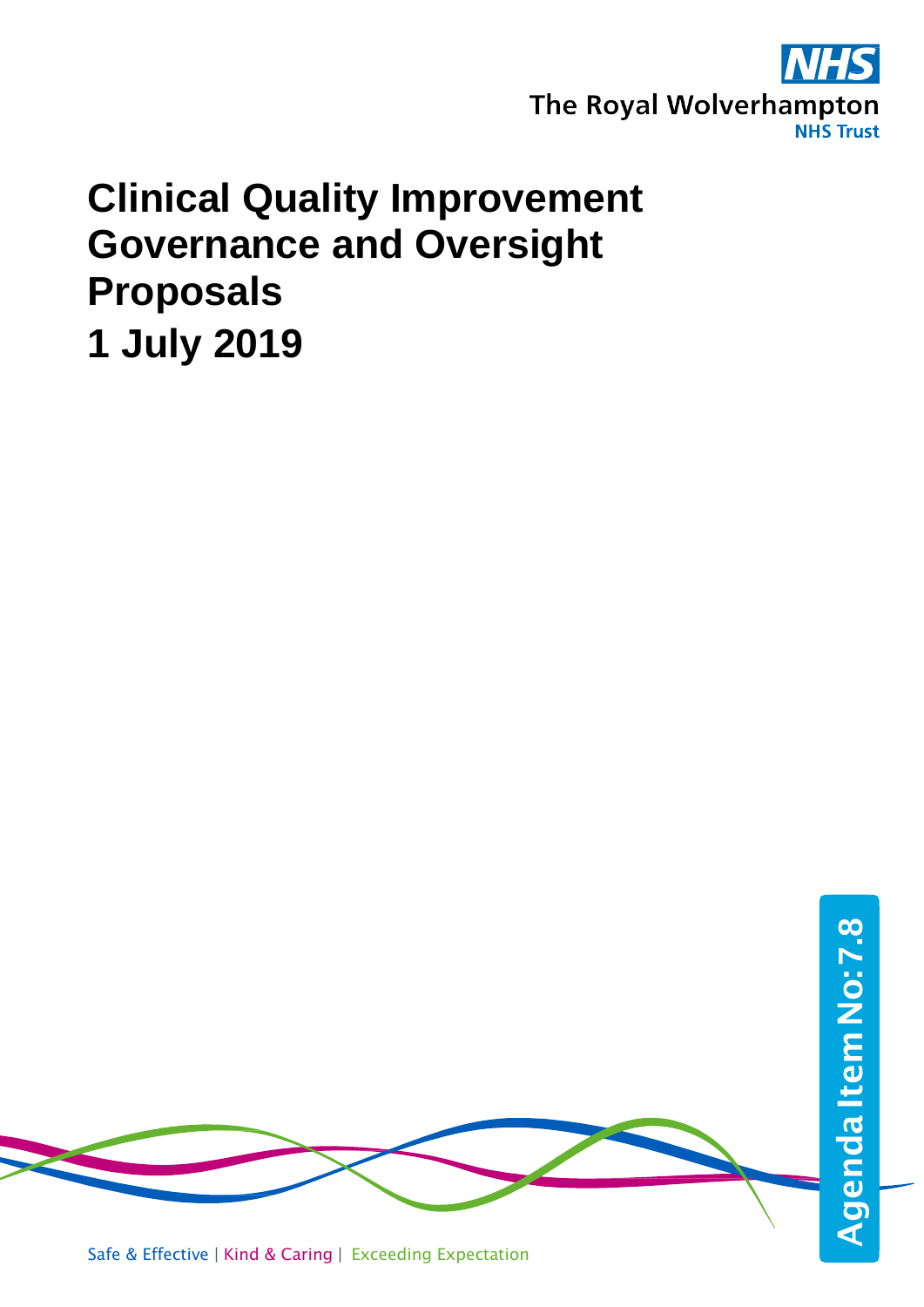

# **Clinical Quality Improvement Governance and Oversight Proposals 1 July 2019**

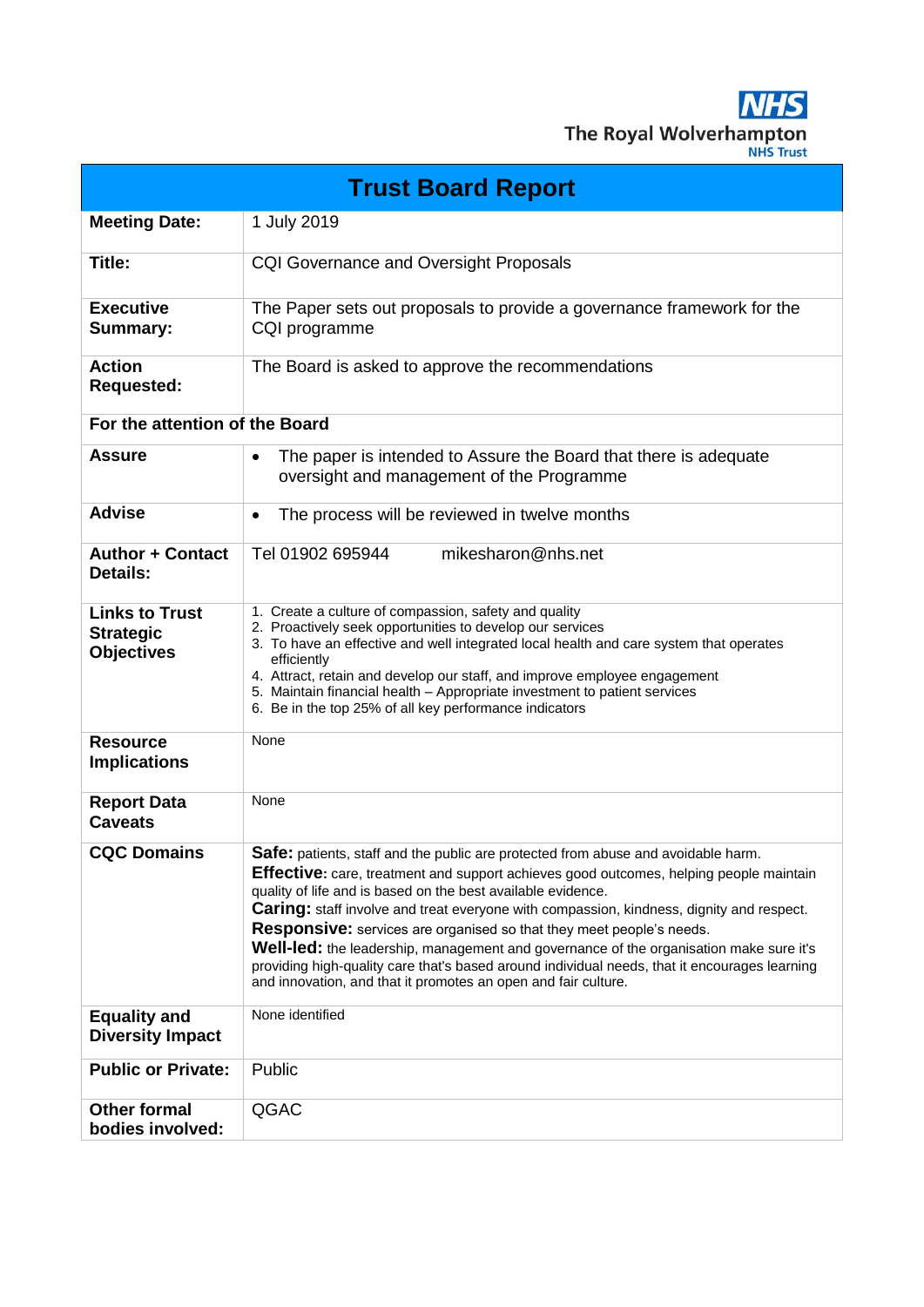**NHS** The Royal Wolverhampton

| <b>Trust Board Report</b>                                      |                                                                                                                                                                                                                                                                                                                                                                                                                                                                                                                                                                                                                                                                                            |  |  |
|----------------------------------------------------------------|--------------------------------------------------------------------------------------------------------------------------------------------------------------------------------------------------------------------------------------------------------------------------------------------------------------------------------------------------------------------------------------------------------------------------------------------------------------------------------------------------------------------------------------------------------------------------------------------------------------------------------------------------------------------------------------------|--|--|
| <b>Meeting Date:</b>                                           | 1 July 2019                                                                                                                                                                                                                                                                                                                                                                                                                                                                                                                                                                                                                                                                                |  |  |
| Title:                                                         | <b>CQI Governance and Oversight Proposals</b>                                                                                                                                                                                                                                                                                                                                                                                                                                                                                                                                                                                                                                              |  |  |
| <b>Executive</b><br><b>Summary:</b>                            | The Paper sets out proposals to provide a governance framework for the<br>CQI programme                                                                                                                                                                                                                                                                                                                                                                                                                                                                                                                                                                                                    |  |  |
| <b>Action</b><br><b>Requested:</b>                             | The Board is asked to approve the recommendations                                                                                                                                                                                                                                                                                                                                                                                                                                                                                                                                                                                                                                          |  |  |
| For the attention of the Board                                 |                                                                                                                                                                                                                                                                                                                                                                                                                                                                                                                                                                                                                                                                                            |  |  |
| <b>Assure</b>                                                  | The paper is intended to Assure the Board that there is adequate<br>$\bullet$<br>oversight and management of the Programme                                                                                                                                                                                                                                                                                                                                                                                                                                                                                                                                                                 |  |  |
| <b>Advise</b>                                                  | The process will be reviewed in twelve months<br>$\bullet$                                                                                                                                                                                                                                                                                                                                                                                                                                                                                                                                                                                                                                 |  |  |
| <b>Author + Contact</b><br><b>Details:</b>                     | mikesharon@nhs.net<br>Tel 01902 695944                                                                                                                                                                                                                                                                                                                                                                                                                                                                                                                                                                                                                                                     |  |  |
| <b>Links to Trust</b><br><b>Strategic</b><br><b>Objectives</b> | 1. Create a culture of compassion, safety and quality<br>2. Proactively seek opportunities to develop our services<br>3. To have an effective and well integrated local health and care system that operates<br>efficiently<br>4. Attract, retain and develop our staff, and improve employee engagement<br>5. Maintain financial health - Appropriate investment to patient services<br>6. Be in the top 25% of all key performance indicators                                                                                                                                                                                                                                            |  |  |
| <b>Resource</b><br><b>Implications</b>                         | None                                                                                                                                                                                                                                                                                                                                                                                                                                                                                                                                                                                                                                                                                       |  |  |
| <b>Report Data</b><br><b>Caveats</b>                           | None                                                                                                                                                                                                                                                                                                                                                                                                                                                                                                                                                                                                                                                                                       |  |  |
| <b>CQC Domains</b>                                             | Safe: patients, staff and the public are protected from abuse and avoidable harm.<br>Effective: care, treatment and support achieves good outcomes, helping people maintain<br>quality of life and is based on the best available evidence.<br>Caring: staff involve and treat everyone with compassion, kindness, dignity and respect.<br><b>Responsive:</b> services are organised so that they meet people's needs.<br><b>Well-led:</b> the leadership, management and governance of the organisation make sure it's<br>providing high-quality care that's based around individual needs, that it encourages learning<br>and innovation, and that it promotes an open and fair culture. |  |  |
| <b>Equality and</b><br><b>Diversity Impact</b>                 | None identified                                                                                                                                                                                                                                                                                                                                                                                                                                                                                                                                                                                                                                                                            |  |  |
| <b>Public or Private:</b>                                      | Public                                                                                                                                                                                                                                                                                                                                                                                                                                                                                                                                                                                                                                                                                     |  |  |
| <b>Other formal</b><br>bodies involved:                        | QGAC                                                                                                                                                                                                                                                                                                                                                                                                                                                                                                                                                                                                                                                                                       |  |  |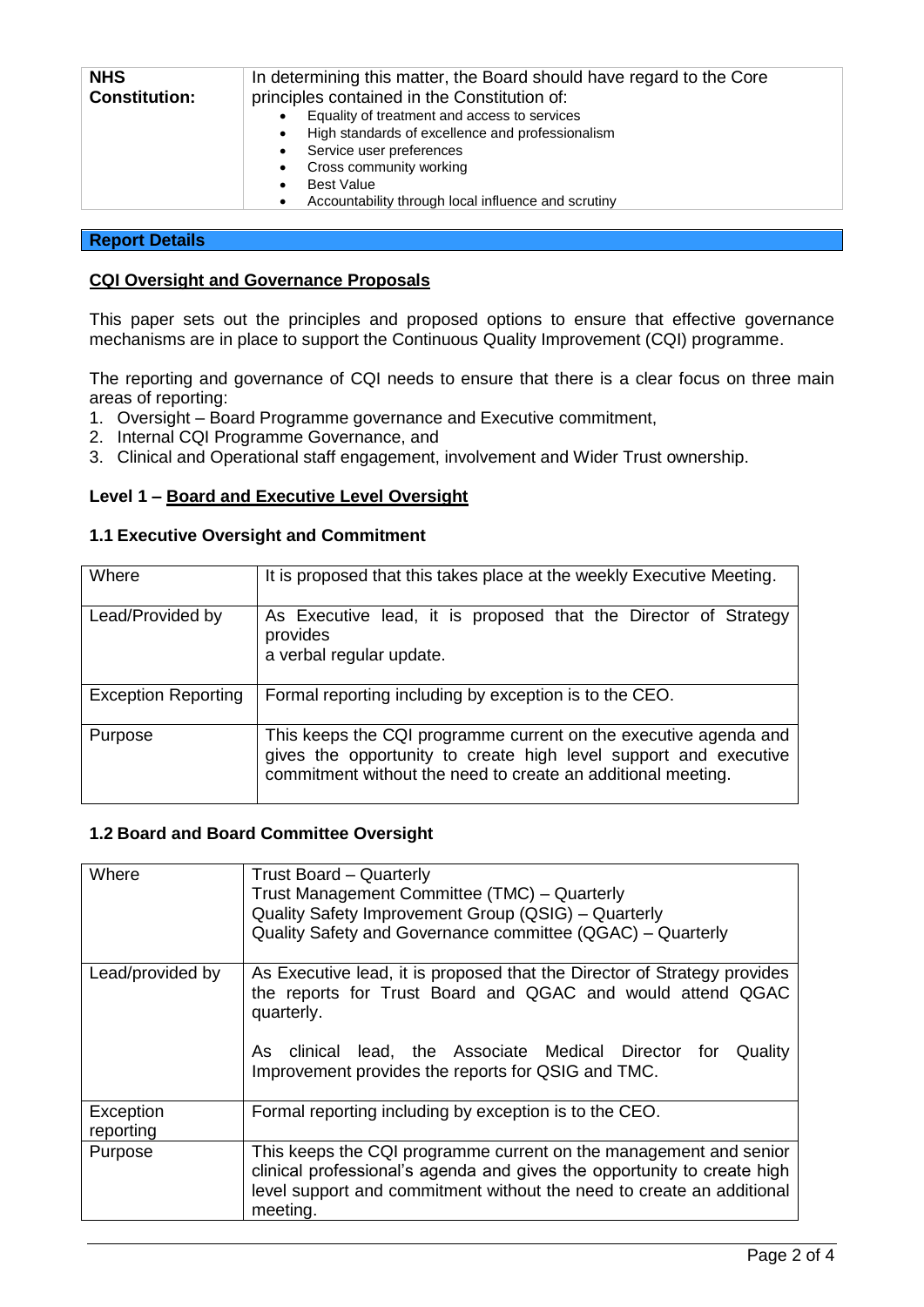| <b>NHS</b>           | In determining this matter, the Board should have regard to the Core |  |
|----------------------|----------------------------------------------------------------------|--|
| <b>Constitution:</b> | principles contained in the Constitution of:                         |  |
|                      | Equality of treatment and access to services                         |  |
|                      | High standards of excellence and professionalism<br>$\bullet$        |  |
|                      | Service user preferences<br>$\bullet$                                |  |
|                      | Cross community working                                              |  |
|                      | <b>Best Value</b>                                                    |  |
|                      | Accountability through local influence and scrutiny                  |  |

## **Report Details**

## **CQI Oversight and Governance Proposals**

This paper sets out the principles and proposed options to ensure that effective governance mechanisms are in place to support the Continuous Quality Improvement (CQI) programme.

The reporting and governance of CQI needs to ensure that there is a clear focus on three main areas of reporting:

- 1. Oversight Board Programme governance and Executive commitment,
- 2. Internal CQI Programme Governance, and
- 3. Clinical and Operational staff engagement, involvement and Wider Trust ownership.

# **Level 1 – Board and Executive Level Oversight**

## **1.1 Executive Oversight and Commitment**

| Where                      | It is proposed that this takes place at the weekly Executive Meeting.                                                                                                                                |
|----------------------------|------------------------------------------------------------------------------------------------------------------------------------------------------------------------------------------------------|
| Lead/Provided by           | As Executive lead, it is proposed that the Director of Strategy<br>provides<br>a verbal regular update.                                                                                              |
| <b>Exception Reporting</b> | Formal reporting including by exception is to the CEO.                                                                                                                                               |
| Purpose                    | This keeps the CQI programme current on the executive agenda and<br>gives the opportunity to create high level support and executive<br>commitment without the need to create an additional meeting. |

### **1.2 Board and Board Committee Oversight**

| Where                  | <b>Trust Board - Quarterly</b><br>Trust Management Committee (TMC) - Quarterly<br>Quality Safety Improvement Group (QSIG) - Quarterly<br>Quality Safety and Governance committee (QGAC) - Quarterly                                                                           |
|------------------------|-------------------------------------------------------------------------------------------------------------------------------------------------------------------------------------------------------------------------------------------------------------------------------|
| Lead/provided by       | As Executive lead, it is proposed that the Director of Strategy provides<br>the reports for Trust Board and QGAC and would attend QGAC<br>quarterly.<br>As clinical lead, the Associate Medical Director for<br>Quality<br>Improvement provides the reports for QSIG and TMC. |
| Exception<br>reporting | Formal reporting including by exception is to the CEO.                                                                                                                                                                                                                        |
| Purpose                | This keeps the CQI programme current on the management and senior<br>clinical professional's agenda and gives the opportunity to create high<br>level support and commitment without the need to create an additional<br>meeting.                                             |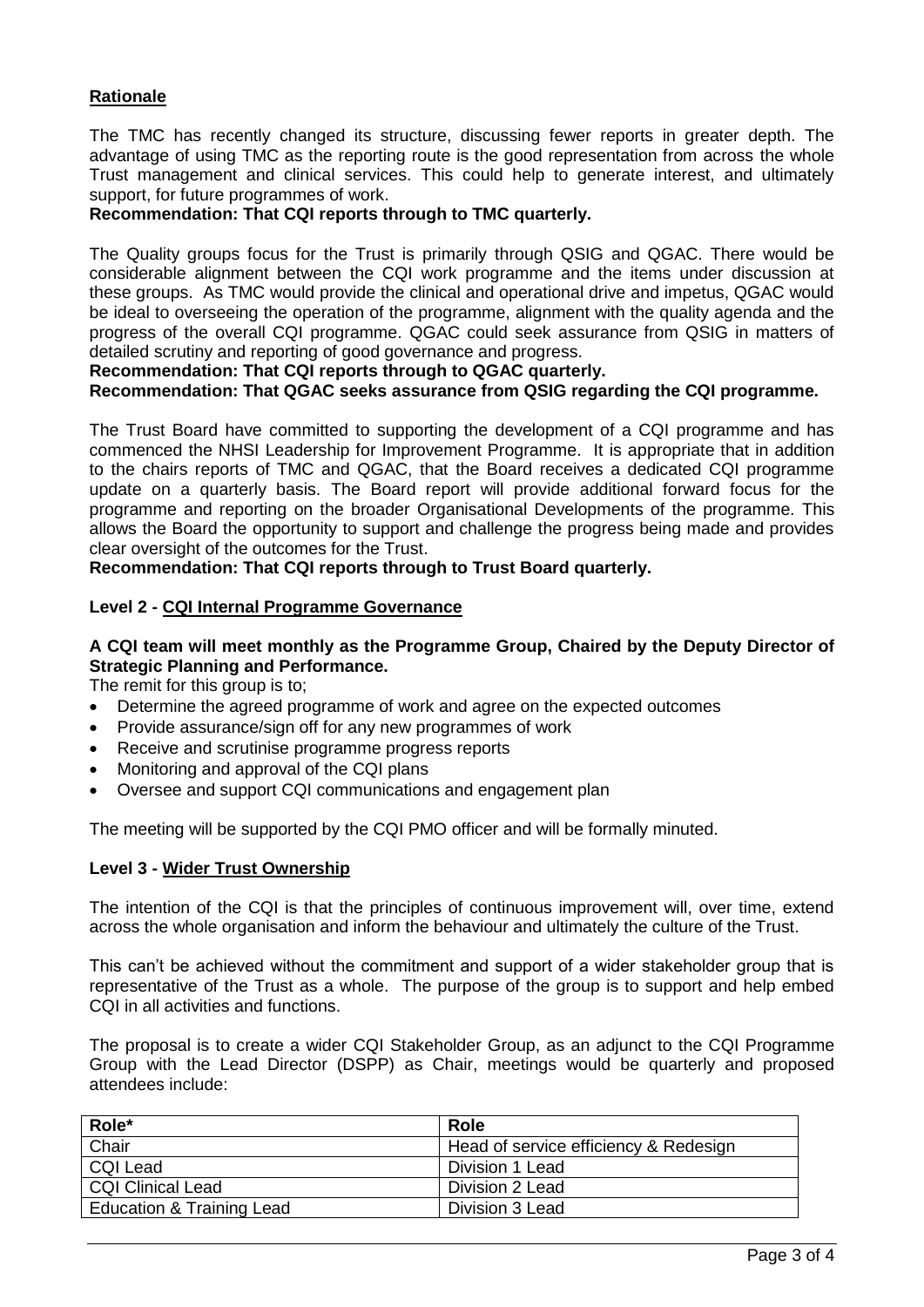# **Rationale**

The TMC has recently changed its structure, discussing fewer reports in greater depth. The advantage of using TMC as the reporting route is the good representation from across the whole Trust management and clinical services. This could help to generate interest, and ultimately support, for future programmes of work.

## **Recommendation: That CQI reports through to TMC quarterly.**

The Quality groups focus for the Trust is primarily through QSIG and QGAC. There would be considerable alignment between the CQI work programme and the items under discussion at these groups. As TMC would provide the clinical and operational drive and impetus, QGAC would be ideal to overseeing the operation of the programme, alignment with the quality agenda and the progress of the overall CQI programme. QGAC could seek assurance from QSIG in matters of detailed scrutiny and reporting of good governance and progress.

**Recommendation: That CQI reports through to QGAC quarterly.**

**Recommendation: That QGAC seeks assurance from QSIG regarding the CQI programme.**

The Trust Board have committed to supporting the development of a CQI programme and has commenced the NHSI Leadership for Improvement Programme. It is appropriate that in addition to the chairs reports of TMC and QGAC, that the Board receives a dedicated CQI programme update on a quarterly basis. The Board report will provide additional forward focus for the programme and reporting on the broader Organisational Developments of the programme. This allows the Board the opportunity to support and challenge the progress being made and provides clear oversight of the outcomes for the Trust.

**Recommendation: That CQI reports through to Trust Board quarterly.**

### **Level 2 - CQI Internal Programme Governance**

## **A CQI team will meet monthly as the Programme Group, Chaired by the Deputy Director of Strategic Planning and Performance.**

The remit for this group is to;

- Determine the agreed programme of work and agree on the expected outcomes
- Provide assurance/sign off for any new programmes of work
- Receive and scrutinise programme progress reports
- Monitoring and approval of the CQI plans
- Oversee and support CQI communications and engagement plan

The meeting will be supported by the CQI PMO officer and will be formally minuted.

### **Level 3 - Wider Trust Ownership**

The intention of the CQI is that the principles of continuous improvement will, over time, extend across the whole organisation and inform the behaviour and ultimately the culture of the Trust.

This can't be achieved without the commitment and support of a wider stakeholder group that is representative of the Trust as a whole. The purpose of the group is to support and help embed CQI in all activities and functions.

The proposal is to create a wider CQI Stakeholder Group, as an adjunct to the CQI Programme Group with the Lead Director (DSPP) as Chair, meetings would be quarterly and proposed attendees include:

| Role*                     | <b>Role</b>                           |
|---------------------------|---------------------------------------|
| Chair                     | Head of service efficiency & Redesign |
| <b>CQI Lead</b>           | Division 1 Lead                       |
| <b>CQI Clinical Lead</b>  | Division 2 Lead                       |
| Education & Training Lead | Division 3 Lead                       |